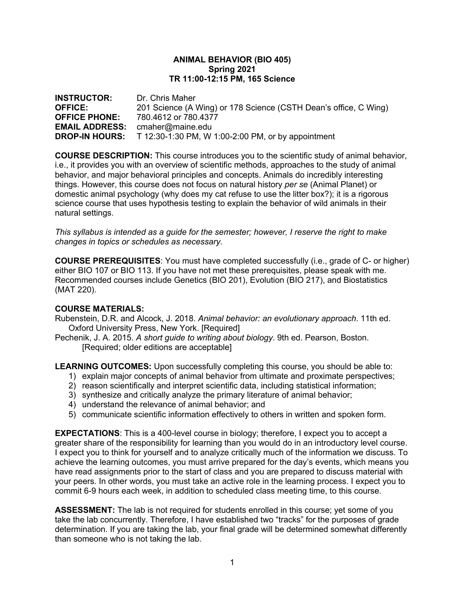### **ANIMAL BEHAVIOR (BIO 405) Spring 2021 TR 11:00-12:15 PM, 165 Science**

 **INSTRUCTOR:** Dr. Chris Maher **OFFICE: DROP-IN HOURS:** 201 Science (A Wing) or 178 Science (CSTH Dean's office, C Wing) **OFFICE PHONE:** 780.4612 or 780.4377 **EMAIL ADDRESS:** [cmaher@maine.edu](mailto:cmaher@maine.edu)  **DROP-IN HOURS:** T 12:30-1:30 PM, W 1:00-2:00 PM, or by appointment

 **COURSE DESCRIPTION:** This course introduces you to the scientific study of animal behavior, i.e., it provides you with an overview of scientific methods, approaches to the study of animal behavior, and major behavioral principles and concepts. Animals do incredibly interesting domestic animal psychology (why does my cat refuse to use the litter box?); it is a rigorous science course that uses hypothesis testing to explain the behavior of wild animals in their natural settings. things. However, this course does not focus on natural history *per se* (Animal Planet) or

 *This syllabus is intended as a guide for the semester; however, I reserve the right to make changes in topics or schedules as necessary.* 

 **COURSE PREREQUISITES**: You must have completed successfully (i.e., grade of C- or higher) either BIO 107 or BIO 113. If you have not met these prerequisites, please speak with me. Recommended courses include Genetics (BIO 201), Evolution (BIO 217), and Biostatistics (MAT 220).

## **COURSE MATERIALS:**

 Rubenstein, D.R. and Alcock, J. 2018. *Animal behavior: an evolutionary approach*. 11th ed. Oxford University Press, New York. [Required]

 Pechenik, J. A. 2015. *A short guide to writing about biology*. 9th ed. Pearson, Boston. [Required; older editions are acceptable]

**LEARNING OUTCOMES:** Upon successfully completing this course, you should be able to:

- 1) explain major concepts of animal behavior from ultimate and proximate perspectives;
- 2) reason scientifically and interpret scientific data, including statistical information;
- 3) synthesize and critically analyze the primary literature of animal behavior;
- 4) understand the relevance of animal behavior; and
- 5) communicate scientific information effectively to others in written and spoken form.

 **EXPECTATIONS**: This is a 400-level course in biology; therefore, I expect you to accept a greater share of the responsibility for learning than you would do in an introductory level course. I expect you to think for yourself and to analyze critically much of the information we discuss. To achieve the learning outcomes, you must arrive prepared for the day's events, which means you have read assignments prior to the start of class and you are prepared to discuss material with your peers. In other words, you must take an active role in the learning process. I expect you to commit 6-9 hours each week, in addition to scheduled class meeting time, to this course.

 **ASSESSMENT:** The lab is not required for students enrolled in this course; yet some of you determination. If you are taking the lab, your final grade will be determined somewhat differently take the lab concurrently. Therefore, I have established two "tracks" for the purposes of grade than someone who is not taking the lab.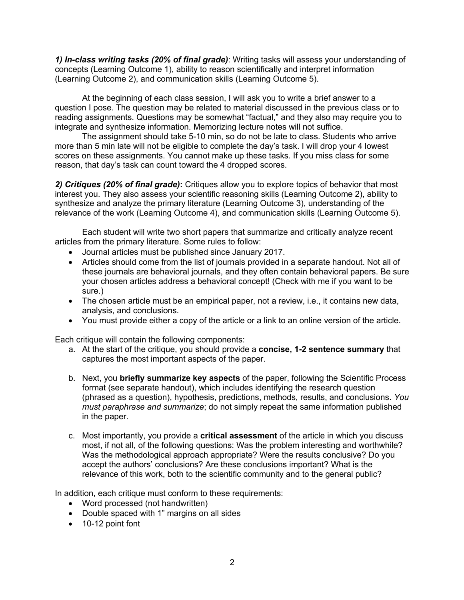*1) In-class writing tasks (20% of final grade)*: Writing tasks will assess your understanding of concepts (Learning Outcome 1), ability to reason scientifically and interpret information (Learning Outcome 2), and communication skills (Learning Outcome 5).

 At the beginning of each class session, I will ask you to write a brief answer to a question I pose. The question may be related to material discussed in the previous class or to integrate and synthesize information. Memorizing lecture notes will not suffice. reading assignments. Questions may be somewhat "factual," and they also may require you to

 The assignment should take 5-10 min, so do not be late to class. Students who arrive more than 5 min late will not be eligible to complete the day's task. I will drop your 4 lowest scores on these assignments. You cannot make up these tasks. If you miss class for some reason, that day's task can count toward the 4 dropped scores.

 *2) Critiques (20% of final grade)***:** Critiques allow you to explore topics of behavior that most interest you. They also assess your scientific reasoning skills (Learning Outcome 2), ability to synthesize and analyze the primary literature (Learning Outcome 3), understanding of the relevance of the work (Learning Outcome 4), and communication skills (Learning Outcome 5).

 Each student will write two short papers that summarize and critically analyze recent articles from the primary literature. Some rules to follow:

- Journal articles must be published since January 2017.
- • Articles should come from the list of journals provided in a separate handout. Not all of your chosen articles address a behavioral concept! (Check with me if you want to be these journals are behavioral journals, and they often contain behavioral papers. Be sure sure.)
- • The chosen article must be an empirical paper, not a review, i.e., it contains new data, analysis, and conclusions.
- You must provide either a copy of the article or a link to an online version of the article.

Each critique will contain the following components:

- a. At the start of the critique, you should provide a **concise, 1-2 sentence summary** that captures the most important aspects of the paper.
- b. Next, you **briefly summarize key aspects** of the paper, following the Scientific Process  *must paraphrase and summarize*; do not simply repeat the same information published in the paper. format (see separate handout), which includes identifying the research question (phrased as a question), hypothesis, predictions, methods, results, and conclusions. *You*
- c. Most importantly, you provide a **critical assessment** of the article in which you discuss most, if not all, of the following questions: Was the problem interesting and worthwhile? Was the methodological approach appropriate? Were the results conclusive? Do you accept the authors' conclusions? Are these conclusions important? What is the relevance of this work, both to the scientific community and to the general public?

In addition, each critique must conform to these requirements:

- Word processed (not handwritten)
- Double spaced with 1" margins on all sides
- 10-12 point font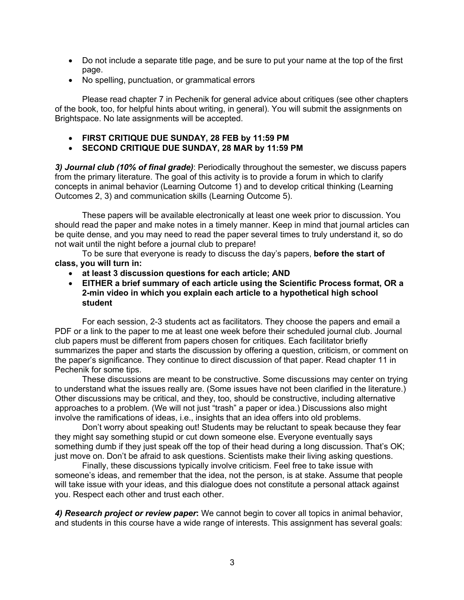- • Do not include a separate title page, and be sure to put your name at the top of the first page.
- No spelling, punctuation, or grammatical errors

 of the book, too, for helpful hints about writing, in general). You will submit the assignments on Brightspace. No late assignments will be accepted. Please read chapter 7 in Pechenik for general advice about critiques (see other chapters

# • **FIRST CRITIQUE DUE SUNDAY, 28 FEB by 11:59 PM**

# • **SECOND CRITIQUE DUE SUNDAY, 28 MAR by 11:59 PM**

 *3) Journal club (10% of final grade)*: Periodically throughout the semester, we discuss papers Outcomes 2, 3) and communication skills (Learning Outcome 5). from the primary literature. The goal of this activity is to provide a forum in which to clarify concepts in animal behavior (Learning Outcome 1) and to develop critical thinking (Learning

 These papers will be available electronically at least one week prior to discussion. You should read the paper and make notes in a timely manner. Keep in mind that journal articles can be quite dense, and you may need to read the paper several times to truly understand it, so do not wait until the night before a journal club to prepare!

 To be sure that everyone is ready to discuss the day's papers, **before the start of class, you will turn in:** 

- **at least 3 discussion questions for each article; AND**
- **EITHER a brief summary of each article using the Scientific Process format, OR a 2-min video in which you explain each article to a hypothetical high school student**

 PDF or a link to the paper to me at least one week before their scheduled journal club. Journal club papers must be different from papers chosen for critiques. Each facilitator briefly Pechenik for some tips. For each session, 2-3 students act as facilitators. They choose the papers and email a summarizes the paper and starts the discussion by offering a question, criticism, or comment on the paper's significance. They continue to direct discussion of that paper. Read chapter 11 in

 These discussions are meant to be constructive. Some discussions may center on trying Other discussions may be critical, and they, too, should be constructive, including alternative approaches to a problem. (We will not just "trash" a paper or idea.) Discussions also might involve the ramifications of ideas, i.e., insights that an idea offers into old problems. to understand what the issues really are. (Some issues have not been clarified in the literature.)

 Don't worry about speaking out! Students may be reluctant to speak because they fear they might say something stupid or cut down someone else. Everyone eventually says something dumb if they just speak off the top of their head during a long discussion. That's OK; just move on. Don't be afraid to ask questions. Scientists make their living asking questions.

 Finally, these discussions typically involve criticism. Feel free to take issue with will take issue with your ideas, and this dialogue does not constitute a personal attack against you. Respect each other and trust each other. someone's ideas, and remember that the idea, not the person, is at stake. Assume that people

 *4) Research project or review paper***:** We cannot begin to cover all topics in animal behavior, and students in this course have a wide range of interests. This assignment has several goals: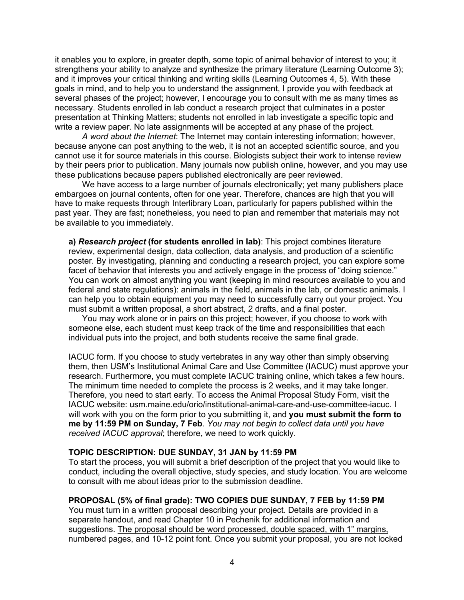it enables you to explore, in greater depth, some topic of animal behavior of interest to you; it and it improves your critical thinking and writing skills (Learning Outcomes 4, 5). With these goals in mind, and to help you to understand the assignment, I provide you with feedback at several phases of the project; however, I encourage you to consult with me as many times as necessary. Students enrolled in lab conduct a research project that culminates in a poster write a review paper. No late assignments will be accepted at any phase of the project. strengthens your ability to analyze and synthesize the primary literature (Learning Outcome 3); presentation at Thinking Matters; students not enrolled in lab investigate a specific topic and

 *A word about the Internet*: The Internet may contain interesting information; however, because anyone can post anything to the web, it is not an accepted scientific source, and you cannot use it for source materials in this course. Biologists subject their work to intense review by their peers prior to publication. Many journals now publish online, however, and you may use these publications because papers published electronically are peer reviewed.

 We have access to a large number of journals electronically; yet many publishers place embargoes on journal contents, often for one year. Therefore, chances are high that you will past year. They are fast; nonetheless, you need to plan and remember that materials may not have to make requests through Interlibrary Loan, particularly for papers published within the be available to you immediately.

 You can work on almost anything you want (keeping in mind resources available to you and can help you to obtain equipment you may need to successfully carry out your project. You must submit a written proposal, a short abstract, 2 drafts, and a final poster. **a)** *Research project* **(for students enrolled in lab)**: This project combines literature review, experimental design, data collection, data analysis, and production of a scientific poster. By investigating, planning and conducting a research project, you can explore some facet of behavior that interests you and actively engage in the process of "doing science." federal and state regulations): animals in the field, animals in the lab, or domestic animals. I

 You may work alone or in pairs on this project; however, if you choose to work with someone else, each student must keep track of the time and responsibilities that each individual puts into the project, and both students receive the same final grade.

 them, then USM's Institutional Animal Care and Use Committee (IACUC) must approve your The minimum time needed to complete the process is 2 weeks, and it may take longer. Therefore, you need to start early. To access the Animal Proposal Study Form, visit the will work with you on the form prior to you submitting it, and **you must submit the form to me by 11:59 PM on Sunday, 7 Feb**. *You may not begin to collect data until you have*  IACUC form. If you choose to study vertebrates in any way other than simply observing research. Furthermore, you must complete IACUC training online, which takes a few hours. IACUC website: [usm.maine.edu/orio/institutional-animal-care-and-use-committee-iacuc](https://usm.maine.edu/orio/institutional-animal-care-and-use-committee-iacuc). I *received IACUC approval*; therefore, we need to work quickly.

#### **TOPIC DESCRIPTION: DUE SUNDAY, 31 JAN by 11:59 PM**

 To start the process, you will submit a brief description of the project that you would like to conduct, including the overall objective, study species, and study location. You are welcome to consult with me about ideas prior to the submission deadline.

#### **PROPOSAL (5% of final grade): TWO COPIES DUE SUNDAY, 7 FEB by 11:59 PM**

 You must turn in a written proposal describing your project. Details are provided in a separate handout, and read Chapter 10 in Pechenik for additional information and suggestions. The proposal should be word processed, double spaced, with 1" margins, numbered pages, and 10-12 point font. Once you submit your proposal, you are not locked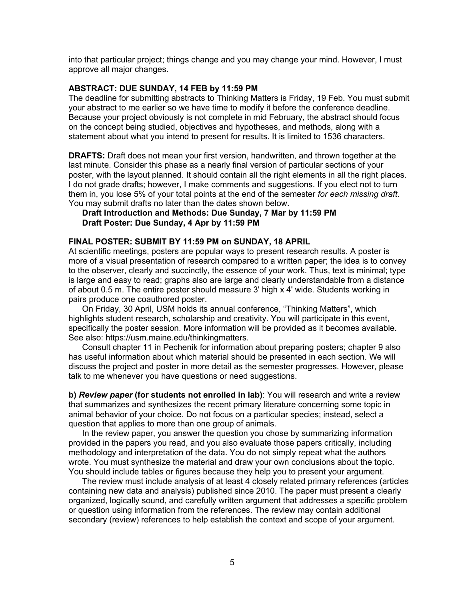into that particular project; things change and you may change your mind. However, I must approve all major changes.

#### **ABSTRACT: DUE SUNDAY, 14 FEB by 11:59 PM**

 The deadline for submitting abstracts to Thinking Matters is Friday, 19 Feb. You must submit your abstract to me earlier so we have time to modify it before the conference deadline. Because your project obviously is not complete in mid February, the abstract should focus statement about what you intend to present for results. It is limited to 1536 characters. on the concept being studied, objectives and hypotheses, and methods, along with a

 **DRAFTS:** Draft does not mean your first version, handwritten, and thrown together at the last minute. Consider this phase as a nearly final version of particular sections of your poster, with the layout planned. It should contain all the right elements in all the right places. I do not grade drafts; however, I make comments and suggestions. If you elect not to turn You may submit drafts no later than the dates shown below. them in, you lose 5% of your total points at the end of the semester *for each missing draft*.

 **Draft Introduction and Methods: Due Sunday, 7 Mar by 11:59 PM Draft Poster: Due Sunday, 4 Apr by 11:59 PM** 

#### **FINAL POSTER: SUBMIT BY 11:59 PM on SUNDAY, 18 APRIL**

 At scientific meetings, posters are popular ways to present research results. A poster is more of a visual presentation of research compared to a written paper; the idea is to convey is large and easy to read; graphs also are large and clearly understandable from a distance of about 0.5 m. The entire poster should measure 3' high x 4' wide. Students working in to the observer, clearly and succinctly, the essence of your work. Thus, text is minimal; type pairs produce one coauthored poster.

 On Friday, 30 April, USM holds its annual conference, "Thinking Matters", which highlights student research, scholarship and creativity. You will participate in this event, specifically the poster session. More information will be provided as it becomes available. See also:<https://usm.maine.edu/thinkingmatters>.

 Consult chapter 11 in Pechenik for information about preparing posters; chapter 9 also has useful information about which material should be presented in each section. We will discuss the project and poster in more detail as the semester progresses. However, please talk to me whenever you have questions or need suggestions.

 **b)** *Review paper* **(for students not enrolled in lab)**: You will research and write a review animal behavior of your choice. Do not focus on a particular species; instead, select a question that applies to more than one group of animals. that summarizes and synthesizes the recent primary literature concerning some topic in

 methodology and interpretation of the data. You do not simply repeat what the authors wrote. You must synthesize the material and draw your own conclusions about the topic. You should include tables or figures because they help you to present your argument. In the review paper, you answer the question you chose by summarizing information provided in the papers you read, and you also evaluate those papers critically, including

 The review must include analysis of at least 4 closely related primary references (articles organized, logically sound, and carefully written argument that addresses a specific problem secondary (review) references to help establish the context and scope of your argument. containing new data and analysis) published since 2010. The paper must present a clearly or question using information from the references. The review may contain additional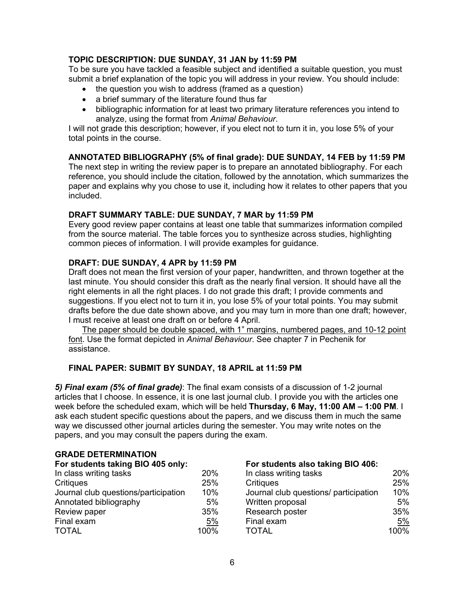# **TOPIC DESCRIPTION: DUE SUNDAY, 31 JAN by 11:59 PM**

 To be sure you have tackled a feasible subject and identified a suitable question, you must submit a brief explanation of the topic you will address in your review. You should include:

- the question you wish to address (framed as a question)
- a brief summary of the literature found thus far
- • bibliographic information for at least two primary literature references you intend to analyze, using the format from *Animal Behaviour*.

I will not grade this description; however, if you elect not to turn it in, you lose 5% of your total points in the course.

## **ANNOTATED BIBLIOGRAPHY (5% of final grade): DUE SUNDAY, 14 FEB by 11:59 PM**

 The next step in writing the review paper is to prepare an annotated bibliography. For each paper and explains why you chose to use it, including how it relates to other papers that you reference, you should include the citation, followed by the annotation, which summarizes the included.

### **DRAFT SUMMARY TABLE: DUE SUNDAY, 7 MAR by 11:59 PM**

 Every good review paper contains at least one table that summarizes information compiled common pieces of information. I will provide examples for guidance. from the source material. The table forces you to synthesize across studies, highlighting

## **DRAFT: DUE SUNDAY, 4 APR by 11:59 PM**

 Draft does not mean the first version of your paper, handwritten, and thrown together at the last minute. You should consider this draft as the nearly final version. It should have all the suggestions. If you elect not to turn it in, you lose 5% of your total points. You may submit drafts before the due date shown above, and you may turn in more than one draft; however, right elements in all the right places. I do not grade this draft; I provide comments and I must receive at least one draft on or before 4 April.

 The paper should be double spaced, with 1" margins, numbered pages, and 10-12 point font. Use the format depicted in *Animal Behaviour*. See chapter 7 in Pechenik for assistance.

## **FINAL PAPER: SUBMIT BY SUNDAY, 18 APRIL at 11:59 PM**

 *5) Final exam (5% of final grade)*: The final exam consists of a discussion of 1-2 journal articles that I choose. In essence, it is one last journal club. I provide you with the articles one week before the scheduled exam, which will be held **Thursday, 6 May, 11:00 AM – 1:00 PM**. I way we discussed other journal articles during the semester. You may write notes on the ask each student specific questions about the papers, and we discuss them in much the same papers, and you may consult the papers during the exam.

| <b>GRADE DETERMINATION</b>           |      |                                       |      |  |  |
|--------------------------------------|------|---------------------------------------|------|--|--|
| For students taking BIO 405 only:    |      | For students also taking BIO 406:     |      |  |  |
| In class writing tasks               | 20%  | In class writing tasks                | 20%  |  |  |
| Critiques                            | 25%  | Critiques                             | 25%  |  |  |
| Journal club questions/participation | 10%  | Journal club questions/ participation | 10%  |  |  |
| Annotated bibliography               | 5%   | Written proposal                      | 5%   |  |  |
| Review paper                         | 35%  | Research poster                       | 35%  |  |  |
| Final exam                           | 5%   | Final exam                            | 5%   |  |  |
| <b>TOTAL</b>                         | 100% | TOTAL                                 | 100% |  |  |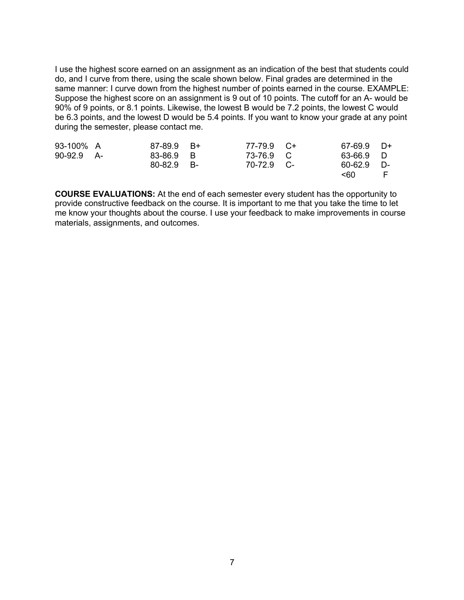do, and I curve from there, using the scale shown below. Final grades are determined in the same manner: I curve down from the highest number of points earned in the course. EXAMPLE: Suppose the highest score on an assignment is 9 out of 10 points. The cutoff for an A- would be 90% of 9 points, or 8.1 points. Likewise, the lowest B would be 7.2 points, the lowest C would be 6.3 points, and the lowest D would be 5.4 points. If you want to know your grade at any point I use the highest score earned on an assignment as an indication of the best that students could during the semester, please contact me.

| 93-100% A    | $87-89.9$ B+   | 77-79.9 C+ | $67-69.9$ D+ |  |
|--------------|----------------|------------|--------------|--|
| $90-92.9$ A- | 83-86.9 B      | 73-76.9 C  | 63-66.9 D    |  |
|              | $80 - 82.9$ B- | 70-72.9 C- | $60-62.9$ D- |  |
|              |                |            | <60          |  |

 **COURSE EVALUATIONS:** At the end of each semester every student has the opportunity to provide constructive feedback on the course. It is important to me that you take the time to let me know your thoughts about the course. I use your feedback to make improvements in course materials, assignments, and outcomes.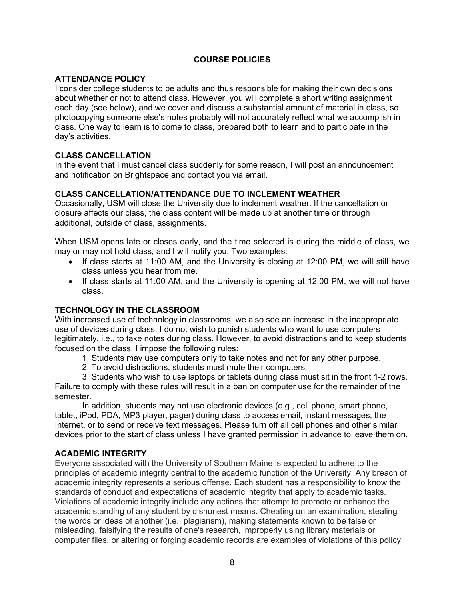# **COURSE POLICIES**

# **ATTENDANCE POLICY**

 about whether or not to attend class. However, you will complete a short writing assignment each day (see below), and we cover and discuss a substantial amount of material in class, so photocopying someone else's notes probably will not accurately reflect what we accomplish in I consider college students to be adults and thus responsible for making their own decisions class. One way to learn is to come to class, prepared both to learn and to participate in the day's activities.

# **CLASS CANCELLATION**

In the event that I must cancel class suddenly for some reason, I will post an announcement and notification on Brightspace and contact you via email.

# **CLASS CANCELLATION/ATTENDANCE DUE TO INCLEMENT WEATHER**

 Occasionally, USM will close the University due to inclement weather. If the cancellation or closure affects our class, the class content will be made up at another time or through additional, outside of class, assignments.

 When USM opens late or closes early, and the time selected is during the middle of class, we may or may not hold class, and I will notify you. Two examples:

- • If class starts at 11:00 AM, and the University is closing at 12:00 PM, we will still have class unless you hear from me.
- • If class starts at 11:00 AM, and the University is opening at 12:00 PM, we will not have class.

# **TECHNOLOGY IN THE CLASSROOM**

 With increased use of technology in classrooms, we also see an increase in the inappropriate use of devices during class. I do not wish to punish students who want to use computers legitimately, i.e., to take notes during class. However, to avoid distractions and to keep students focused on the class, I impose the following rules:

- 1. Students may use computers only to take notes and not for any other purpose.
- 2. To avoid distractions, students must mute their computers.

 3. Students who wish to use laptops or tablets during class must sit in the front 1-2 rows. Failure to comply with these rules will result in a ban on computer use for the remainder of the semester.

 tablet, iPod, PDA, MP3 player, pager) during class to access email, instant messages, the devices prior to the start of class unless I have granted permission in advance to leave them on. In addition, students may not use electronic devices (e.g., cell phone, smart phone, Internet, or to send or receive text messages. Please turn off all cell phones and other similar

## **ACADEMIC INTEGRITY**

 Everyone associated with the University of Southern Maine is expected to adhere to the standards of conduct and expectations of academic integrity that apply to academic tasks. Violations of academic integrity include any actions that attempt to promote or enhance the academic standing of any student by dishonest means. Cheating on an examination, stealing misleading, falsifying the results of one's research, improperly using library materials or computer files, or altering or forging academic records are examples of violations of this policy principles of academic integrity central to the academic function of the University. Any breach of academic integrity represents a serious offense. Each student has a responsibility to know the the words or ideas of another (i.e., plagiarism), making statements known to be false or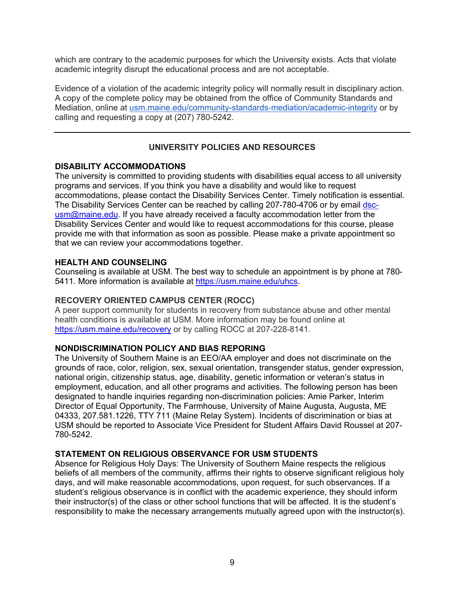which are contrary to the academic purposes for which the University exists. Acts that violate academic integrity disrupt the educational process and are not acceptable.

 Evidence of a violation of the academic integrity policy will normally result in disciplinary action. A copy of the complete policy may be obtained from the office of Community Standards and Mediation, online at [usm.maine.edu/community-standards-mediation/academic-integrity](https://usm.maine.edu/community-standards-mediation/academic-integrity) or by calling and requesting a copy at (207) 780-5242.

# **UNIVERSITY POLICIES AND RESOURCES**

## **DISABILITY ACCOMMODATIONS**

 The university is committed to providing students with disabilities equal access to all university The Disability Services Center can be reached by calling 207-780-4706 or by email dsc- Disability Services Center and would like to request accommodations for this course, please programs and services. If you think you have a disability and would like to request accommodations, please contact the Disability Services Center. Timely notification is essential. [usm@maine.edu.](mailto:usm@maine.edu) If you have already received a faculty accommodation letter from the provide me with that information as soon as possible. Please make a private appointment so that we can review your accommodations together.

#### **HEALTH AND COUNSELING**

 Counseling is available at USM. The best way to schedule an appointment is by phone at 780- 5411. More information is available at [https://usm.maine.edu/uhcs.](https://usm.maine.edu/uhcs)

#### **RECOVERY ORIENTED CAMPUS CENTER (ROCC)**

 A peer support community for students in recovery from substance abuse and other mental health conditions is available at USM. More information may be found online at <https://usm.maine.edu/recovery>or by calling ROCC at 207-228-8141.

#### **NONDISCRIMINATION POLICY AND BIAS REPORING**

 The University of Southern Maine is an EEO/AA employer and does not discriminate on the grounds of race, color, religion, sex, sexual orientation, transgender status, gender expression, employment, education, and all other programs and activities. The following person has been designated to handle inquiries regarding non-discrimination policies: Amie Parker, Interim Director of Equal Opportunity, The Farmhouse, University of Maine Augusta, Augusta, ME 04333, 207.581.1226, TTY 711 (Maine Relay System). Incidents of discrimination or bias at USM should be reported to Associate Vice President for Student Affairs David Roussel at 207 national origin, citizenship status, age, disability, genetic information or veteran's status in 780-5242.

## **STATEMENT ON RELIGIOUS OBSERVANCE FOR USM STUDENTS**

 Absence for Religious Holy Days: The University of Southern Maine respects the religious beliefs of all members of the community, affirms their rights to observe significant religious holy days, and will make reasonable accommodations, upon request, for such observances. If a their instructor(s) of the class or other school functions that will be affected. It is the student's student's religious observance is in conflict with the academic experience, they should inform responsibility to make the necessary arrangements mutually agreed upon with the instructor(s).